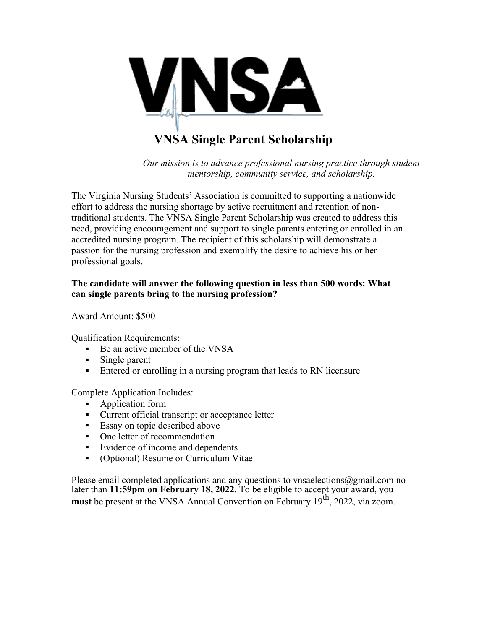

# **VNSA Single Parent Scholarship**

*Our mission is to advance professional nursing practice through student mentorship, community service, and scholarship.*

The Virginia Nursing Students' Association is committed to supporting a nationwide effort to address the nursing shortage by active recruitment and retention of nontraditional students. The VNSA Single Parent Scholarship was created to address this need, providing encouragement and support to single parents entering or enrolled in an accredited nursing program. The recipient of this scholarship will demonstrate a passion for the nursing profession and exemplify the desire to achieve his or her professional goals.

## **The candidate will answer the following question in less than 500 words: What can single parents bring to the nursing profession?**

Award Amount: \$500

Qualification Requirements:

- Be an active member of the VNSA
- **Example parent**
- Entered or enrolling in a nursing program that leads to RN licensure

Complete Application Includes:

- Application form
- Current official transcript or acceptance letter
- Essay on topic described above
- One letter of recommendation
- Evidence of income and dependents
- (Optional) Resume or Curriculum Vitae

Please email completed applications and any questions to vnsaelections  $\omega$  gmail.com no later than **11:59pm on February 18, 2022.** To be eligible to accept your award, you **must** be present at the VNSA Annual Convention on February 19<sup>th</sup>, 2022, via zoom.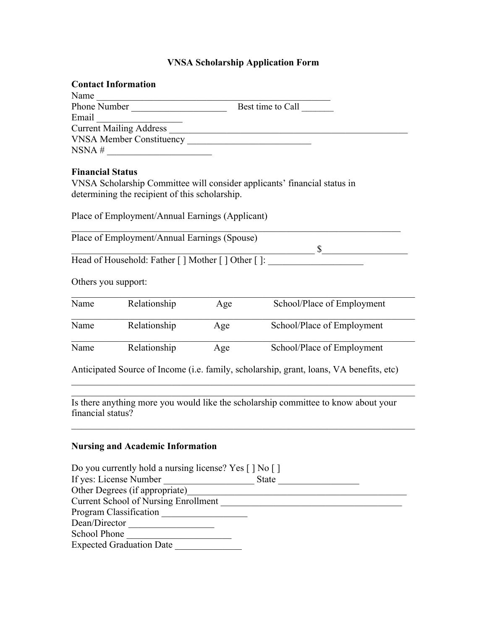### **VNSA Scholarship Application Form**

| <b>Contact Information</b>      |                   |
|---------------------------------|-------------------|
| Name                            |                   |
| Phone Number                    | Best time to Call |
| Email                           |                   |
| <b>Current Mailing Address</b>  |                   |
| <b>VNSA Member Constituency</b> |                   |
| NSNA#                           |                   |
|                                 |                   |

## **Financial Status**

VNSA Scholarship Committee will consider applicants' financial status in determining the recipient of this scholarship.

Place of Employment/Annual Earnings (Applicant)

 $\_$  , and the set of the set of the set of the set of the set of the set of the set of the set of the set of the set of the set of the set of the set of the set of the set of the set of the set of the set of the set of th Place of Employment/Annual Earnings (Spouse)  $\mathbb S$ 

Head of Household: Father [ ] Mother [ ] Other [ ]:

Others you support:

| Name | Relationship | Age | School/Place of Employment |
|------|--------------|-----|----------------------------|
| Name | Relationship | Age | School/Place of Employment |
| Name | Relationship | Age | School/Place of Employment |

Anticipated Source of Income (i.e. family, scholarship, grant, loans, VA benefits, etc)

Is there anything more you would like the scholarship committee to know about your financial status?

#### **Nursing and Academic Information**

| Do you currently hold a nursing license? Yes $\lceil \cdot \rceil$ No $\lceil \cdot \rceil$ |              |
|---------------------------------------------------------------------------------------------|--------------|
| If yes: License Number                                                                      | <b>State</b> |
| Other Degrees (if appropriate)                                                              |              |
| <b>Current School of Nursing Enrollment</b>                                                 |              |
| Program Classification                                                                      |              |
| Dean/Director                                                                               |              |
| <b>School Phone</b>                                                                         |              |
| <b>Expected Graduation Date</b>                                                             |              |
|                                                                                             |              |